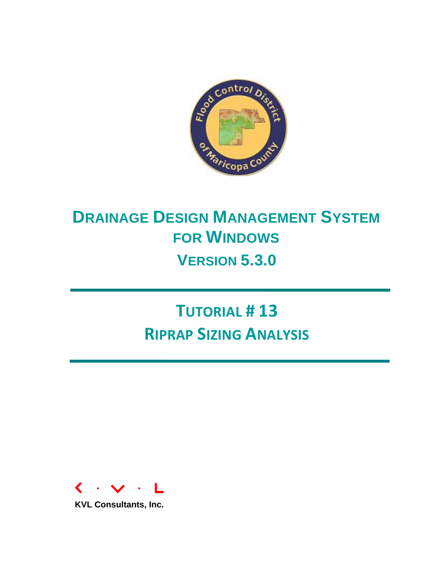

# **DRAINAGE DESIGN MANAGEMENT SYSTEM FOR WINDOWS VERSION 5.3.0**

**TUTORIAL # 13 RIPRAP SIZING ANALYSIS**



**KVL Consultants, Inc.**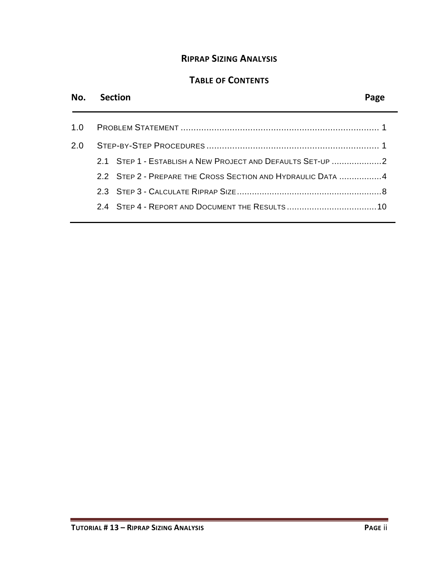## **RIPRAP SIZING ANALYSIS**

# **TABLE OF CONTENTS**

# **No. Section Page**

| 2.0. |                                                             |
|------|-------------------------------------------------------------|
|      | 2.1 STEP 1 - ESTABLISH A NEW PROJECT AND DEFAULTS SET-UP 2  |
|      | 2.2 STEP 2 - PREPARE THE CROSS SECTION AND HYDRAULIC DATA 4 |
|      |                                                             |
|      |                                                             |
|      |                                                             |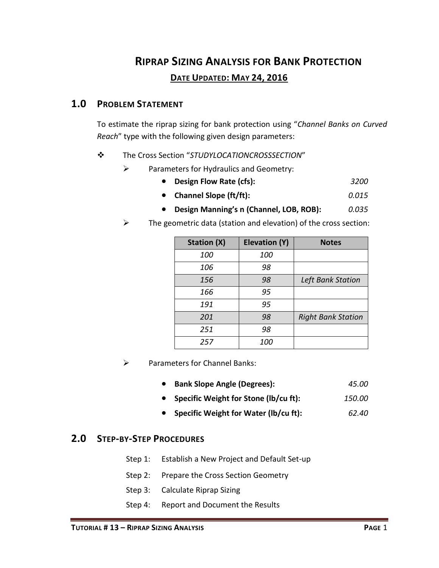# **RIPRAP SIZING ANALYSIS FOR BANK PROTECTION DATE UPDATED: MAY 24, 2016**

### <span id="page-2-0"></span>**1.0 PROBLEM STATEMENT**

To estimate the riprap sizing for bank protection using "*Channel Banks on Curved Reach*" type with the following given design parameters:

#### The Cross Section "*STUDYLOCATIONCROSSSECTION*"

- $\triangleright$  Parameters for Hydraulics and Geometry:
	- **Design Flow Rate (cfs):** *3200*
	- **Channel Slope (ft/ft):** *0.015*
	- **Design Manning's n (Channel, LOB, ROB):** *0.035*
- $\triangleright$  The geometric data (station and elevation) of the cross section:

| Station (X) | <b>Elevation (Y)</b> | <b>Notes</b>              |
|-------------|----------------------|---------------------------|
| 100         | 100                  |                           |
| 106         | 98                   |                           |
| 156         | 98                   | <b>Left Bank Station</b>  |
| 166         | 95                   |                           |
| 191         | 95                   |                           |
| 201         | 98                   | <b>Right Bank Station</b> |
| 251         | 98                   |                           |
| 257         | 100                  |                           |

- $\triangleright$  Parameters for Channel Banks:
	- **Bank Slope Angle (Degrees):** *45.00*
	- **Specific Weight for Stone (lb/cu ft):** *150.00*
	- **Specific Weight for Water (lb/cu ft):** *62.40*

#### <span id="page-2-1"></span>**2.0 STEP-BY-STEP PROCEDURES**

- Step 1: Establish a New Project and Default Set-up
- Step 2: Prepare the Cross Section Geometry
- Step 3: Calculate Riprap Sizing
- Step 4: Report and Document the Results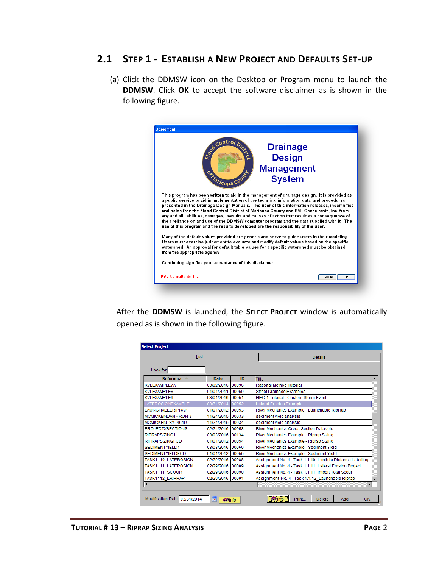### <span id="page-3-0"></span>**2.1 STEP 1 - ESTABLISH A NEW PROJECT AND DEFAULTS SET-UP**

(a) Click the DDMSW icon on the Desktop or Program menu to launch the **DDMSW**. Click **OK** to accept the software disclaimer as is shown in the following figure.



After the **DDMSW** is launched, the **SELECT PROJECT** window is automatically opened as is shown in the following figure.

| List                    |                  |       | Details                                                   |
|-------------------------|------------------|-------|-----------------------------------------------------------|
| Look for                |                  |       |                                                           |
| Reference               | <b>Date</b>      | ID    | Title<br>▲                                                |
| <b>KVLEXAMPLE7A</b>     | 03/02/2016       | 00096 | Rational Method Tutorial                                  |
| <b>KVLEXAMPLE8</b>      | 01/01/2011       | 00050 | <b>Street Drainage Examples</b>                           |
| <b>KVLEXAMPLE9</b>      | 03/01/2016       | 00051 | <b>HEC-1 Tutorial - Custom Storm Event</b>                |
| <b>ATEROSIONEXAMPLE</b> | 03/31/2014       | 00052 | Lateral Erosion Example                                   |
| <b>LAUNCHABLERIPRAP</b> | 01/01/2012 00053 |       | River Mechanics Example - Launchable RipRap               |
| MCMICKENDAM - RUN 3     | 11/24/2015       | 00033 | sediment vield analysis                                   |
| <b>MCMICKEN SY 464D</b> | 11/24/2015 00034 |       | sediment vield analysis                                   |
| PROJECTXSECTIONS        | 02/24/2016 00058 |       | River Mechanics Cross Section Datasets                    |
| RIPRAPSIZING1           | 03/03/2016       | 00134 | River Mechanics Example - Riprap Sizing                   |
| <b>RIPRAPSIZINGFCD</b>  | 01/01/2012 00054 |       | River Mechanics Example - Riprap Sizing                   |
| <b>SEDIMENTYIELD1</b>   | 03/03/2016 00060 |       | River Mechanics Example - Sediment Yield                  |
| <b>SEDIMENTYIELDFCD</b> | 01/01/2012       | 00055 | River Mechanics Example - Sediment Yield                  |
| TASK1110 LATEROSION     | 02/29/2016 00088 |       | Assignment No. 4 - Task 1.1.10 Lenth to Distance Labeling |
| TASK1111 LATEROSION     | 02/29/2016       | 00089 | Assignment No. 4 - Task 1.1.11 Lateral Erosion Project    |
| TASK1111 SCOUR          | 02/29/2016       | 00090 | Assignment No. 4 - Task 1.1.11 Import Total Scour         |
| TASK1112 LRIPRAP        | 02/29/2016       | 00091 | Assignment No. 4 - Task 1.1.12 Launchable Riprap          |
| $\left  \right $        |                  |       | $\blacktriangleright$                                     |
|                         |                  |       |                                                           |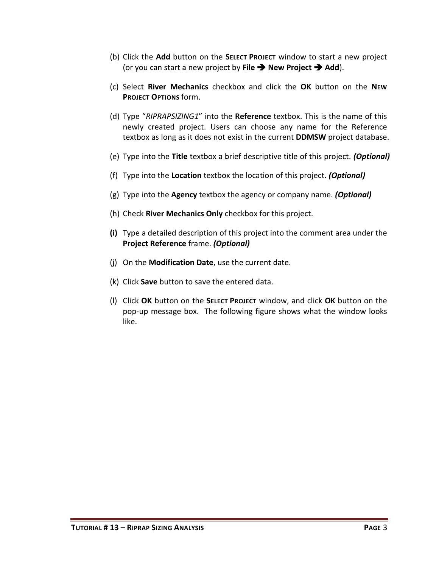- (b) Click the **Add** button on the **SELECT PROJECT** window to start a new project (or you can start a new project by File  $\rightarrow$  New Project  $\rightarrow$  Add).
- (c) Select **River Mechanics** checkbox and click the **OK** button on the **NEW PROJECT OPTIONS** form.
- (d) Type "*RIPRAPSIZING1*" into the **Reference** textbox. This is the name of this newly created project. Users can choose any name for the Reference textbox as long as it does not exist in the current **DDMSW** project database.
- (e) Type into the **Title** textbox a brief descriptive title of this project. *(Optional)*
- (f) Type into the **Location** textbox the location of this project. *(Optional)*
- (g) Type into the **Agency** textbox the agency or company name. *(Optional)*
- (h) Check **River Mechanics Only** checkbox for this project.
- **(i)** Type a detailed description of this project into the comment area under the **Project Reference** frame. *(Optional)*
- (j) On the **Modification Date**, use the current date.
- (k) Click **Save** button to save the entered data.
- (l) Click **OK** button on the **SELECT PROJECT** window, and click **OK** button on the pop-up message box. The following figure shows what the window looks like.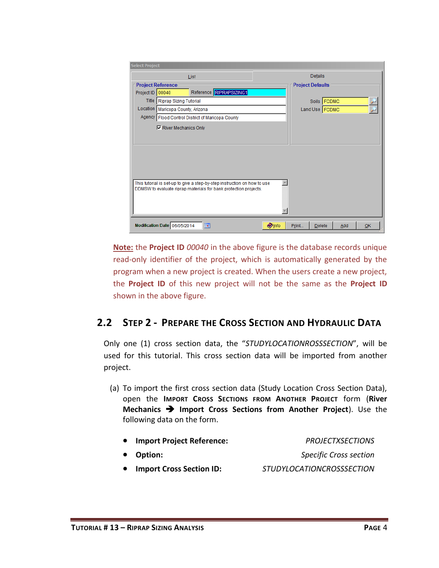|                                                                                                                                                                                                                                                                                                                                                                                                                                                                               | List                          |              |                        |     |    |
|-------------------------------------------------------------------------------------------------------------------------------------------------------------------------------------------------------------------------------------------------------------------------------------------------------------------------------------------------------------------------------------------------------------------------------------------------------------------------------|-------------------------------|--------------|------------------------|-----|----|
|                                                                                                                                                                                                                                                                                                                                                                                                                                                                               |                               |              |                        |     |    |
|                                                                                                                                                                                                                                                                                                                                                                                                                                                                               | Reference RIPRAPSIZING1       |              |                        |     |    |
|                                                                                                                                                                                                                                                                                                                                                                                                                                                                               | <b>Riprap Sizing Tutorial</b> |              |                        |     |    |
| <b>Select Project</b><br><b>Details</b><br><b>Project Reference</b><br><b>Project Defaults</b><br>Project ID 00040<br>Title  <br>Soils FCDMC<br>Location<br>Maricopa County, Arizona<br>Land Use FCDMC<br>Agency   Flood Control District of Maricopa County<br><b>▽ River Mechanics Only</b><br>This tutorial is set-up to give a step-by-step instruction on how to use<br>DDMSW to evaluate riprap materials for bank protection projects.<br>Modification Date 06/05/2014 |                               |              |                        |     |    |
|                                                                                                                                                                                                                                                                                                                                                                                                                                                                               |                               |              |                        |     |    |
|                                                                                                                                                                                                                                                                                                                                                                                                                                                                               |                               |              |                        |     |    |
|                                                                                                                                                                                                                                                                                                                                                                                                                                                                               |                               |              |                        |     |    |
|                                                                                                                                                                                                                                                                                                                                                                                                                                                                               |                               |              |                        |     |    |
|                                                                                                                                                                                                                                                                                                                                                                                                                                                                               |                               |              |                        |     |    |
|                                                                                                                                                                                                                                                                                                                                                                                                                                                                               |                               |              |                        |     |    |
|                                                                                                                                                                                                                                                                                                                                                                                                                                                                               |                               |              |                        |     |    |
|                                                                                                                                                                                                                                                                                                                                                                                                                                                                               |                               |              |                        |     |    |
|                                                                                                                                                                                                                                                                                                                                                                                                                                                                               |                               |              |                        |     |    |
|                                                                                                                                                                                                                                                                                                                                                                                                                                                                               |                               |              |                        |     |    |
|                                                                                                                                                                                                                                                                                                                                                                                                                                                                               |                               |              |                        |     |    |
|                                                                                                                                                                                                                                                                                                                                                                                                                                                                               |                               |              |                        |     |    |
|                                                                                                                                                                                                                                                                                                                                                                                                                                                                               |                               |              |                        |     |    |
|                                                                                                                                                                                                                                                                                                                                                                                                                                                                               | m.                            | <b>Olnfo</b> | Print<br><b>Delete</b> | Add | QK |

**Note:** the **Project ID** *00040* in the above figure is the database records unique read-only identifier of the project, which is automatically generated by the program when a new project is created. When the users create a new project, the **Project ID** of this new project will not be the same as the **Project ID** shown in the above figure.

# <span id="page-5-0"></span>**2.2 STEP 2 - PREPARE THE CROSS SECTION AND HYDRAULIC DATA**

Only one (1) cross section data, the "*STUDYLOCATIONROSSSECTION*", will be used for this tutorial. This cross section data will be imported from another project.

(a) To import the first cross section data (Study Location Cross Section Data), open the **IMPORT CROSS SECTIONS FROM ANOTHER PROJECT** form (**River Mechanics**  $\rightarrow$  **Import Cross Sections from Another Project**). Use the following data on the form.

|           | • Import Project Reference:     | <b>PROJECTXSECTIONS</b>          |
|-----------|---------------------------------|----------------------------------|
|           | • Option:                       | <b>Specific Cross section</b>    |
| $\bullet$ | <b>Import Cross Section ID:</b> | <i>STUDYLOCATIONCROSSSECTION</i> |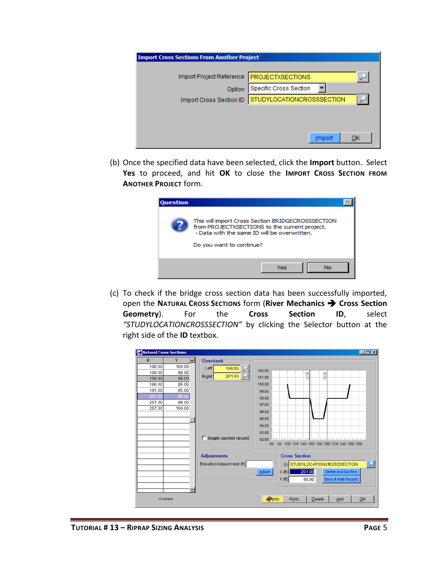| <b>Import Cross Sections From Another Project</b> |                               |
|---------------------------------------------------|-------------------------------|
|                                                   |                               |
| Import Project Reference                          | <b>PROJECTXSECTIONS</b>       |
| Option                                            | <b>Specific Cross Section</b> |
| Import Cross Section ID                           | STUDYLOCATIONCROSSSECTION     |
|                                                   |                               |
|                                                   |                               |
|                                                   | QK<br>Import                  |

(b) Once the specified data have been selected, click the **Import** button. Select **Yes** to proceed, and hit **OK** to close the **IMPORT CROSS SECTION FROM ANOTHER PROJECT** form.

| <b>Question</b> |                                                                                                                                                                                |  |
|-----------------|--------------------------------------------------------------------------------------------------------------------------------------------------------------------------------|--|
|                 | This will import Cross Section BRIDGECROSSSECTION<br>from PROJECTXSECTIONS to the current project.<br>- Data with the same ID will be overwritten.<br>Do you want to continue? |  |
|                 | Yes<br>No                                                                                                                                                                      |  |

(c) To check if the bridge cross section data has been successfully imported, open the **NATURAL CROSS SECTIONS** form (**River Mechanics Cross Section Geometry**). For the **Cross Section ID**, select *"STUDYLOCATIONCROSSSECTION"* by clicking the Selector button at the right side of the **ID** textbox.

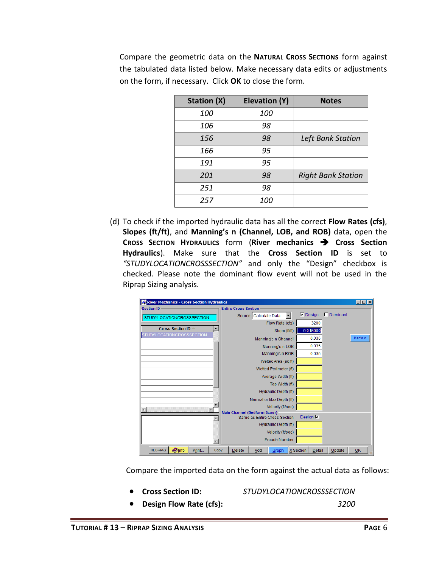Compare the geometric data on the **NATURAL CROSS SECTIONS** form against the tabulated data listed below. Make necessary data edits or adjustments on the form, if necessary. Click **OK** to close the form.

| <b>Station (X)</b> | <b>Elevation (Y)</b> | <b>Notes</b>              |
|--------------------|----------------------|---------------------------|
| 100                | 100                  |                           |
| 106                | 98                   |                           |
| 156                | 98                   | Left Bank Station         |
| 166                | 95                   |                           |
| 191                | 95                   |                           |
| 201                | 98                   | <b>Right Bank Station</b> |
| 251                | 98                   |                           |
| 257                | 100                  |                           |

(d) To check if the imported hydraulic data has all the correct **Flow Rates (cfs)**, **Slopes (ft/ft)**, and **Manning's n (Channel, LOB, and ROB)** data, open the **CROSS SECTION HYDRAULICS** form (**River mechanics Cross Section Hydraulics**). Make sure that the **Cross Section ID** is set to *"STUDYLOCATIONCROSSSECTION"* and only the "Design" checkbox is checked. Please note the dominant flow event will not be used in the Riprap Sizing analysis.

| <b>River Mechanics - Cross Section Hydraulics</b>           |                                                              |                            |                   | $ \Box$ $\times$ |
|-------------------------------------------------------------|--------------------------------------------------------------|----------------------------|-------------------|------------------|
| <b>Section ID</b>                                           | <b>Entire Cross Section</b>                                  |                            |                   |                  |
| STUDYLOCATIONCROSSSECTION                                   | Source   Calculate Data                                      | $\nabla$ Design            | $\Gamma$ Dominant |                  |
|                                                             | Flow Rate (cfs)                                              | 3200                       |                   |                  |
| <b>Cross Section ID</b><br><b>STUDYLOCATIONCROSSSECTION</b> | Slope (ft/ft)                                                | 0.015000                   |                   |                  |
|                                                             | Manning's n Channel                                          | 0.035                      |                   | Man's n          |
|                                                             | Manning's n LOB                                              | 0.035                      |                   |                  |
|                                                             | Manning's n ROB                                              | 0.035                      |                   |                  |
|                                                             | Wetted Area (sq ft)                                          |                            |                   |                  |
|                                                             | Wetted Perimeter (ft)                                        |                            |                   |                  |
|                                                             | Average Width (ft)                                           |                            |                   |                  |
|                                                             | Top Width (ft)                                               |                            |                   |                  |
|                                                             | Hydraulic Depth (ft)                                         |                            |                   |                  |
|                                                             | Normal or Max Depth (ft)                                     |                            |                   |                  |
|                                                             | Velocity (ft/sec)                                            |                            |                   |                  |
|                                                             | Main Channel (Bedform Scour)<br>Same as Entire Cross Section | Design $\nabla$            |                   |                  |
|                                                             | Hydraulic Depth (ft)                                         |                            |                   |                  |
|                                                             |                                                              |                            |                   |                  |
|                                                             | Velocity (ft/sec)                                            |                            |                   |                  |
|                                                             | <b>Froude Number</b>                                         |                            |                   |                  |
| <b>Olnfo</b><br><b>HEC-RAS</b><br>Print<br>Copy             | <b>Delete</b><br>Add<br>Graph                                | X Section<br><b>Detail</b> | Update            | QK               |

Compare the imported data on the form against the actual data as follows:

**Cross Section ID:** *STUDYLOCATIONCROSSSECTION*

**Design Flow Rate (cfs):** *3200*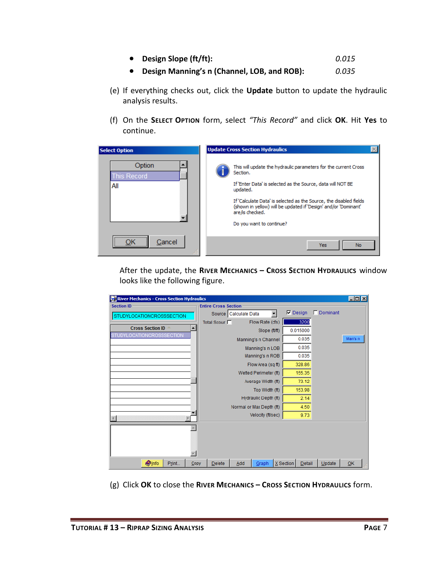- **Design Slope (ft/ft):** *0.015*
- **Design Manning's n (Channel, LOB, and ROB):** *0.035*
- (e) If everything checks out, click the **Update** button to update the hydraulic analysis results.
- (f) On the **SELECT OPTION** form, select *"This Record"* and click **OK**. Hit **Yes** to continue.



After the update, the **RIVER MECHANICS – CROSS SECTION HYDRAULICS** window looks like the following figure.

| River Mechanics - Cross Section Hydraulics                               |                             |                       |                          |                 |        |          | $\Box$ o $\overline{\mathbf{x}}$ |
|--------------------------------------------------------------------------|-----------------------------|-----------------------|--------------------------|-----------------|--------|----------|----------------------------------|
| <b>Section ID</b>                                                        | <b>Entire Cross Section</b> |                       |                          |                 |        |          |                                  |
| STUDYLOCATIONCROSSSECTION                                                |                             | Source Calculate Data |                          | $\nabla$ Design |        | Dominant |                                  |
|                                                                          | Total Scour                 |                       | Flow Rate (cfs)          |                 | 3200   |          |                                  |
| <b>Cross Section ID</b><br>$\blacktriangle$<br>STUDYLOCATIONCROSSSECTION |                             |                       | Slope (ft/ft)            | 0.015000        |        |          |                                  |
|                                                                          |                             |                       | Manning's n Channel      |                 | 0.035  |          | Man's n                          |
|                                                                          |                             |                       | Manning's n LOB          |                 | 0.035  |          |                                  |
|                                                                          |                             |                       | Manning's n ROB          |                 | 0.035  |          |                                  |
|                                                                          |                             |                       | Flow Area (sq ft)        |                 | 328.86 |          |                                  |
|                                                                          |                             |                       | Wetted Perimeter (ft)    |                 | 155.35 |          |                                  |
|                                                                          |                             |                       | Average Width (ft)       |                 | 73.12  |          |                                  |
|                                                                          |                             |                       | Top Width (ft)           |                 | 153.98 |          |                                  |
|                                                                          |                             |                       | Hydraulic Depth (ft)     |                 | 2.14   |          |                                  |
|                                                                          |                             |                       | Normal or Max Depth (ft) |                 | 4.50   |          |                                  |
|                                                                          |                             |                       | Velocity (ft/sec)        |                 | 9.73   |          |                                  |
|                                                                          |                             |                       |                          |                 |        |          |                                  |
|                                                                          |                             |                       |                          |                 |        |          |                                  |
|                                                                          |                             |                       |                          |                 |        |          |                                  |
|                                                                          |                             |                       |                          |                 |        |          |                                  |
| <b>Olnfo</b><br>Print<br>Copy                                            | <b>Delete</b>               | Add                   | Graph                    | X Section       | Detail | Update   | QK                               |

(g) Click **OK** to close the **RIVER MECHANICS – CROSS SECTION HYDRAULICS** form.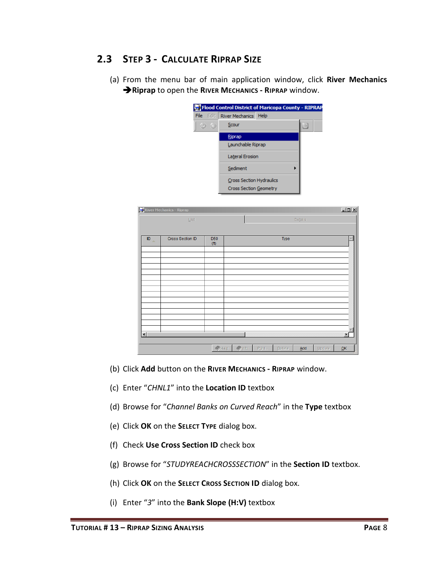# <span id="page-9-0"></span>**2.3 STEP 3 - CALCULATE RIPRAP SIZE**

(a) From the menu bar of main application window, click **River Mechanics Riprap** to open the **RIVER MECHANICS - RIPRAP** window.



|                 | River Mechanics - Riprap |                                      |                    |       |        |         |        | $\Box$ D $\times$ |
|-----------------|--------------------------|--------------------------------------|--------------------|-------|--------|---------|--------|-------------------|
|                 | List                     |                                      |                    |       |        | Details |        |                   |
| ID<br><b>AL</b> | Cross Section ID         | D <sub>50</sub><br>(f <sup>t</sup> ) |                    |       | Type   |         |        | A,                |
|                 |                          |                                      |                    |       |        |         |        |                   |
|                 |                          |                                      |                    |       |        |         |        |                   |
|                 |                          |                                      |                    |       |        |         |        |                   |
|                 |                          |                                      |                    |       |        |         |        |                   |
| $\blacksquare$  |                          |                                      |                    |       |        |         |        | ×                 |
|                 |                          | $\leftrightarrow$ Help               | $\rightarrow$ Info | Print | Delete | Add     | Update | QK                |

- (b) Click **Add** button on the **RIVER MECHANICS - RIPRAP** window.
- (c) Enter "*CHNL1*" into the **Location ID** textbox
- (d) Browse for "*Channel Banks on Curved Reach*" in the **Type** textbox
- (e) Click **OK** on the **SELECT TYPE** dialog box.
- (f) Check **Use Cross Section ID** check box
- (g) Browse for "*STUDYREACHCROSSSECTION*" in the **Section ID** textbox.
- (h) Click **OK** on the **SELECT CROSS SECTION ID** dialog box.
- (i) Enter "*3*" into the **Bank Slope (H:V)** textbox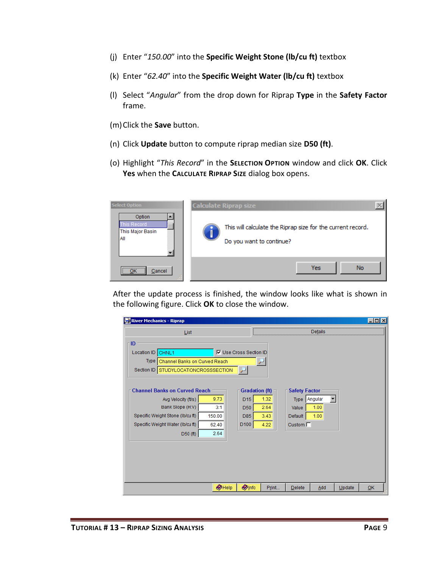- (j) Enter "*150.00*" into the **Specific Weight Stone (lb/cu ft)** textbox
- (k) Enter "*62.40*" into the **Specific Weight Water (lb/cu ft)** textbox
- (l) Select "*Angular*" from the drop down for Riprap **Type** in the **Safety Factor** frame.
- (m)Click the **Save** button.
- (n) Click **Update** button to compute riprap median size **D50 (ft)**.
- (o) Highlight "*This Record*" in the **SELECTION OPTION** window and click **OK**. Click **Yes** when the **CALCULATE RIPRAP SIZE** dialog box opens.



After the update process is finished, the window looks like what is shown in the following figure. Click **OK** to close the window.

| <b>River Mechanics - Riprap</b>      |                |                               |      |                      |         | $ \Box$ $\times$ |
|--------------------------------------|----------------|-------------------------------|------|----------------------|---------|------------------|
| List                                 |                |                               |      |                      | Details |                  |
| - ID                                 |                |                               |      |                      |         |                  |
| Location ID CHNL1                    |                | <b>Ⅳ</b> Use Cross Section ID |      |                      |         |                  |
| Type   Channel Banks on Curved Reach |                |                               |      |                      |         |                  |
| Section ID STUDYLOCATIONCROSSSECTION |                |                               |      |                      |         |                  |
|                                      |                |                               |      |                      |         |                  |
| <b>Channel Banks on Curved Reach</b> |                | <b>Gradation (ft)</b>         |      | <b>Safety Factor</b> |         |                  |
| Avg Velocity (ft/s)                  | 9.73           | D15                           | 1.32 | Type Angular         |         |                  |
| Bank Slope (H:V)                     | 3:1            | D50                           | 2.64 | Value                | 1.00    |                  |
| Specific Weight Stone (Ib/cu ft)     | 150.00         | D85                           | 3.43 | Default              | 1.00    |                  |
| Specific Weight Water (Ib/cu ft)     | 62.40          | D <sub>100</sub>              | 4.22 | Custom $\Box$        |         |                  |
| D50(f <sub>th</sub> )                | 2.64           |                               |      |                      |         |                  |
|                                      |                |                               |      |                      |         |                  |
|                                      |                |                               |      |                      |         |                  |
|                                      |                |                               |      |                      |         |                  |
|                                      |                |                               |      |                      |         |                  |
|                                      |                |                               |      |                      |         |                  |
|                                      |                |                               |      |                      |         |                  |
|                                      | $\bullet$ Help | <b>Olnfo</b>                  |      |                      |         |                  |